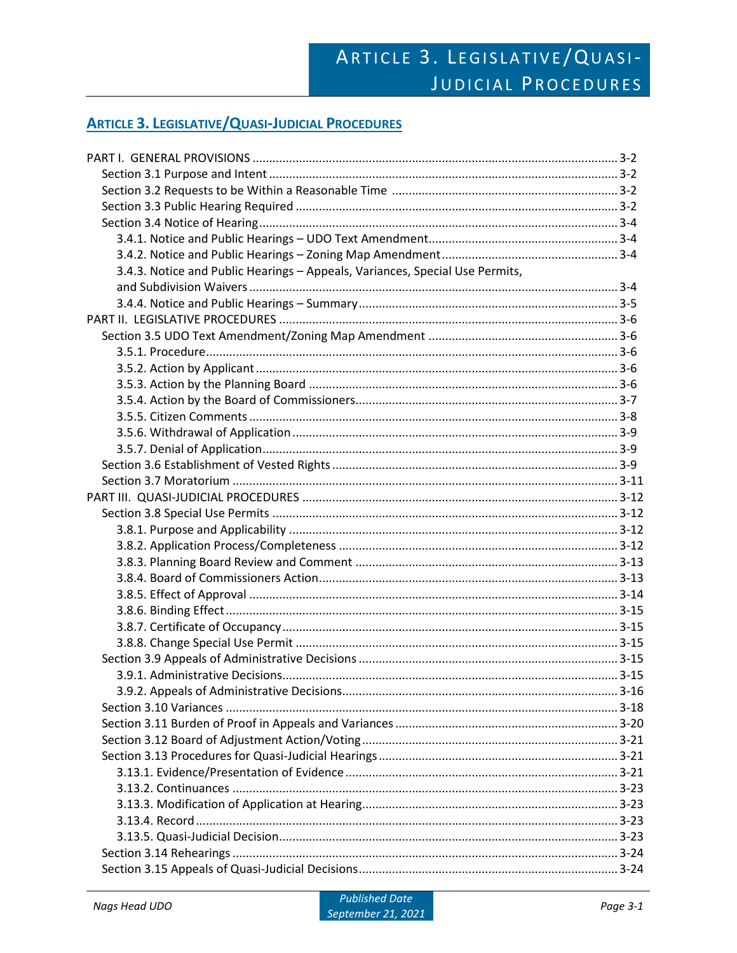# ARTICLE 3. LEGISLATIVE/QUASI-JUDICIAL PROCEDURES

# **ARTICLE 3. LEGISLATIVE/QUASI-JUDICIAL PROCEDURES**

| 3.4.3. Notice and Public Hearings - Appeals, Variances, Special Use Permits, |  |
|------------------------------------------------------------------------------|--|
|                                                                              |  |
|                                                                              |  |
|                                                                              |  |
|                                                                              |  |
|                                                                              |  |
|                                                                              |  |
|                                                                              |  |
|                                                                              |  |
|                                                                              |  |
|                                                                              |  |
|                                                                              |  |
|                                                                              |  |
|                                                                              |  |
|                                                                              |  |
|                                                                              |  |
|                                                                              |  |
|                                                                              |  |
|                                                                              |  |
|                                                                              |  |
|                                                                              |  |
|                                                                              |  |
|                                                                              |  |
|                                                                              |  |
|                                                                              |  |
|                                                                              |  |
|                                                                              |  |
|                                                                              |  |
|                                                                              |  |
|                                                                              |  |
|                                                                              |  |
|                                                                              |  |
|                                                                              |  |
|                                                                              |  |
|                                                                              |  |
|                                                                              |  |
|                                                                              |  |
|                                                                              |  |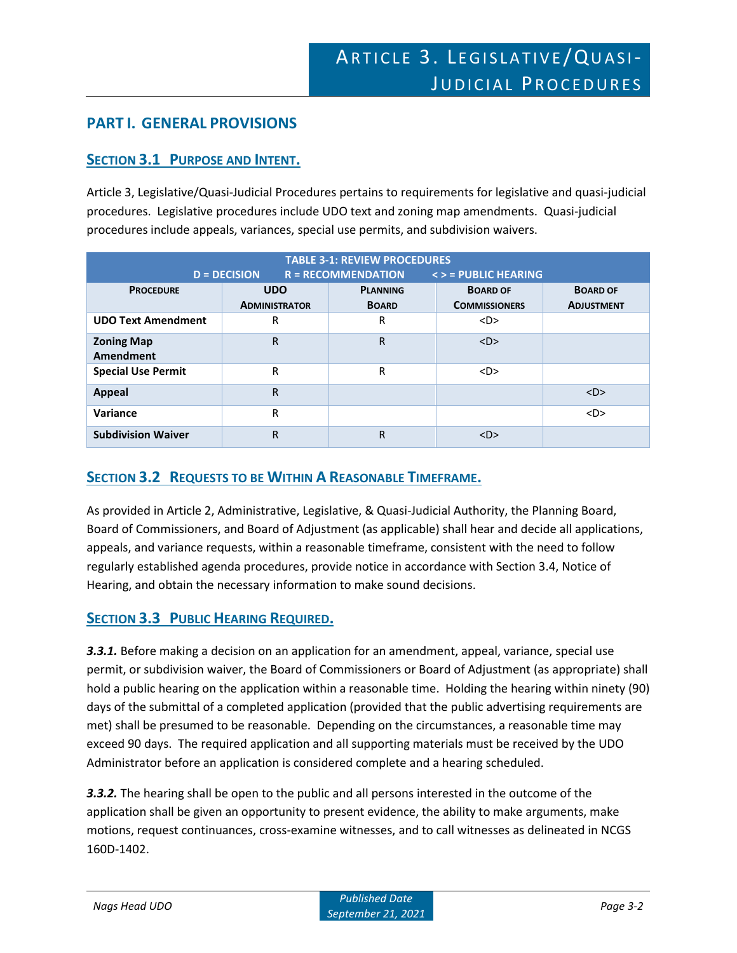# **PART I. GENERAL PROVISIONS**

# **SECTION 3.1 PURPOSE AND INTENT.**

Article 3, Legislative/Quasi-Judicial Procedures pertains to requirements for legislative and quasi-judicial procedures. Legislative procedures include UDO text and zoning map amendments. Quasi-judicial procedures include appeals, variances, special use permits, and subdivision waivers.

| <b>TABLE 3-1: REVIEW PROCEDURES</b><br>$R = RECOMMENDATION$<br>$\le$ > = PUBLIC HEARING<br>$D = DECISION$ |                                    |                                 |                                         |                                      |
|-----------------------------------------------------------------------------------------------------------|------------------------------------|---------------------------------|-----------------------------------------|--------------------------------------|
| <b>PROCEDURE</b>                                                                                          | <b>UDO</b><br><b>ADMINISTRATOR</b> | <b>PLANNING</b><br><b>BOARD</b> | <b>BOARD OF</b><br><b>COMMISSIONERS</b> | <b>BOARD OF</b><br><b>ADJUSTMENT</b> |
| <b>UDO Text Amendment</b>                                                                                 | R                                  | R                               | $<$ D $>$                               |                                      |
| <b>Zoning Map</b><br><b>Amendment</b>                                                                     | R                                  | R                               | $<$ D $>$                               |                                      |
| <b>Special Use Permit</b>                                                                                 | R                                  | R                               | $<$ D>                                  |                                      |
| <b>Appeal</b>                                                                                             | R                                  |                                 |                                         | $<$ D $>$                            |
| Variance                                                                                                  | R                                  |                                 |                                         | $<$ D>                               |
| <b>Subdivision Waiver</b>                                                                                 | R                                  | R                               | $<$ D $>$                               |                                      |

# **SECTION 3.2 REQUESTS TO BE WITHIN A REASONABLE TIMEFRAME.**

As provided in Article 2, Administrative, Legislative, & Quasi-Judicial Authority, the Planning Board, Board of Commissioners, and Board of Adjustment (as applicable) shall hear and decide all applications, appeals, and variance requests, within a reasonable timeframe, consistent with the need to follow regularly established agenda procedures, provide notice in accordance with Section 3.4, Notice of Hearing, and obtain the necessary information to make sound decisions.

# **SECTION 3.3 PUBLIC HEARING REQUIRED.**

*3.3.1.* Before making a decision on an application for an amendment, appeal, variance, special use permit, or subdivision waiver, the Board of Commissioners or Board of Adjustment (as appropriate) shall hold a public hearing on the application within a reasonable time. Holding the hearing within ninety (90) days of the submittal of a completed application (provided that the public advertising requirements are met) shall be presumed to be reasonable. Depending on the circumstances, a reasonable time may exceed 90 days. The required application and all supporting materials must be received by the UDO Administrator before an application is considered complete and a hearing scheduled.

*3.3.2.* The hearing shall be open to the public and all persons interested in the outcome of the application shall be given an opportunity to present evidence, the ability to make arguments, make motions, request continuances, cross-examine witnesses, and to call witnesses as delineated in NCGS 160D-1402.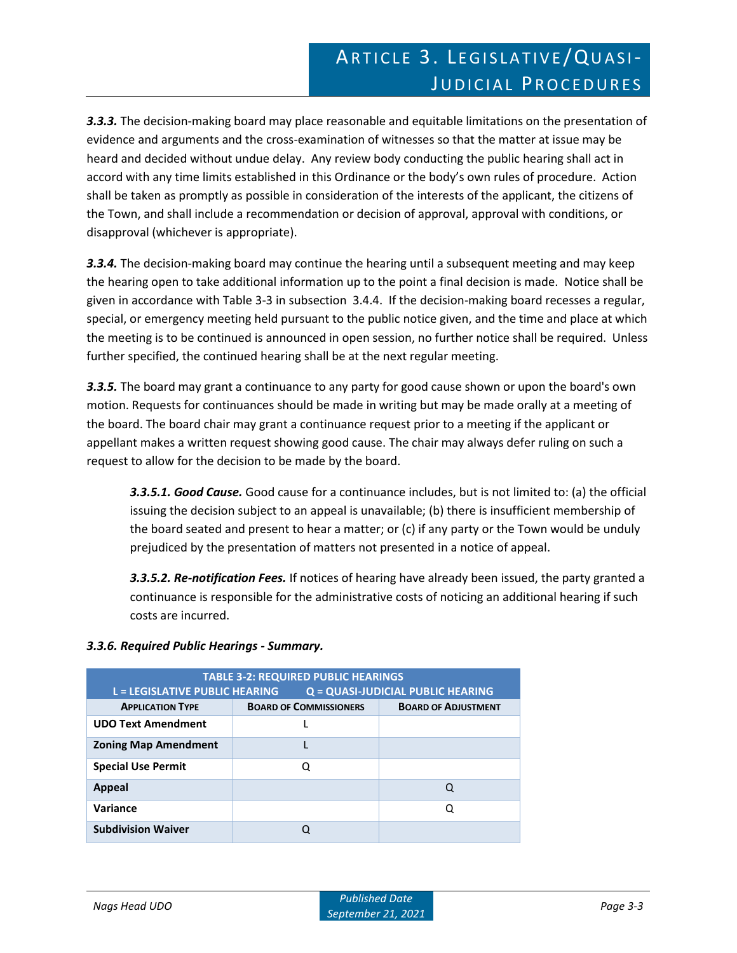*3.3.3.* The decision-making board may place reasonable and equitable limitations on the presentation of evidence and arguments and the cross-examination of witnesses so that the matter at issue may be heard and decided without undue delay. Any review body conducting the public hearing shall act in accord with any time limits established in this Ordinance or the body's own rules of procedure. Action shall be taken as promptly as possible in consideration of the interests of the applicant, the citizens of the Town, and shall include a recommendation or decision of approval, approval with conditions, or disapproval (whichever is appropriate).

*3.3.4.* The decision-making board may continue the hearing until a subsequent meeting and may keep the hearing open to take additional information up to the point a final decision is made. Notice shall be given in accordance with Table 3-3 in subsection 3.4.4. If the decision-making board recesses a regular, special, or emergency meeting held pursuant to the public notice given, and the time and place at which the meeting is to be continued is announced in open session, no further notice shall be required. Unless further specified, the continued hearing shall be at the next regular meeting.

*3.3.5.* The board may grant a continuance to any party for good cause shown or upon the board's own motion. Requests for continuances should be made in writing but may be made orally at a meeting of the board. The board chair may grant a continuance request prior to a meeting if the applicant or appellant makes a written request showing good cause. The chair may always defer ruling on such a request to allow for the decision to be made by the board.

*3.3.5.1. Good Cause.* Good cause for a continuance includes, but is not limited to: (a) the official issuing the decision subject to an appeal is unavailable; (b) there is insufficient membership of the board seated and present to hear a matter; or (c) if any party or the Town would be unduly prejudiced by the presentation of matters not presented in a notice of appeal.

*3.3.5.2. Re-notification Fees.* If notices of hearing have already been issued, the party granted a continuance is responsible for the administrative costs of noticing an additional hearing if such costs are incurred.

| <b>TABLE 3-2: REQUIRED PUBLIC HEARINGS</b><br><b>L = LEGISLATIVE PUBLIC HEARING</b><br>Q = QUASI-JUDICIAL PUBLIC HEARING |                               |                            |  |
|--------------------------------------------------------------------------------------------------------------------------|-------------------------------|----------------------------|--|
| <b>APPLICATION TYPE</b>                                                                                                  | <b>BOARD OF COMMISSIONERS</b> | <b>BOARD OF ADJUSTMENT</b> |  |
| <b>UDO Text Amendment</b>                                                                                                |                               |                            |  |
| <b>Zoning Map Amendment</b>                                                                                              |                               |                            |  |
| <b>Special Use Permit</b>                                                                                                | Q                             |                            |  |
| Appeal                                                                                                                   |                               | Q                          |  |
| Variance                                                                                                                 |                               | O                          |  |
| <b>Subdivision Waiver</b>                                                                                                |                               |                            |  |

# *3.3.6. Required Public Hearings - Summary.*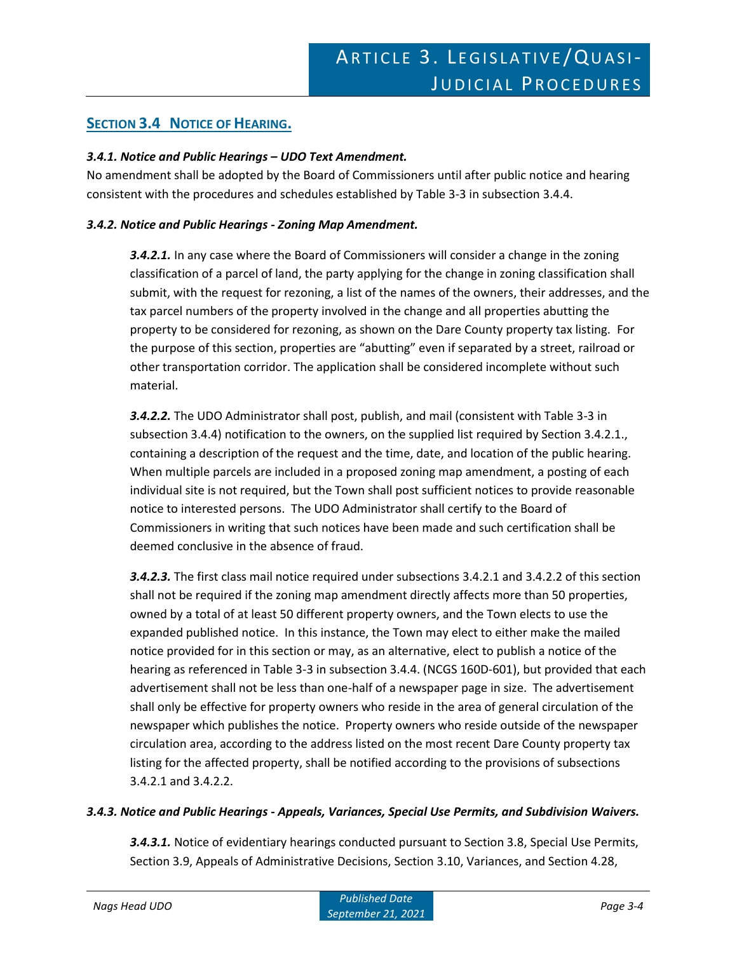# **SECTION 3.4 NOTICE OF HEARING.**

#### *3.4.1. Notice and Public Hearings – UDO Text Amendment.*

No amendment shall be adopted by the Board of Commissioners until after public notice and hearing consistent with the procedures and schedules established by Table 3-3 in subsection 3.4.4.

#### *3.4.2. Notice and Public Hearings - Zoning Map Amendment.*

*3.4.2.1.* In any case where the Board of Commissioners will consider a change in the zoning classification of a parcel of land, the party applying for the change in zoning classification shall submit, with the request for rezoning, a list of the names of the owners, their addresses, and the tax parcel numbers of the property involved in the change and all properties abutting the property to be considered for rezoning, as shown on the Dare County property tax listing. For the purpose of this section, properties are "abutting" even if separated by a street, railroad or other transportation corridor. The application shall be considered incomplete without such material.

*3.4.2.2.* The UDO Administrator shall post, publish, and mail (consistent with Table 3-3 in subsection 3.4.4) notification to the owners, on the supplied list required by Section 3.4.2.1., containing a description of the request and the time, date, and location of the public hearing. When multiple parcels are included in a proposed zoning map amendment, a posting of each individual site is not required, but the Town shall post sufficient notices to provide reasonable notice to interested persons. The UDO Administrator shall certify to the Board of Commissioners in writing that such notices have been made and such certification shall be deemed conclusive in the absence of fraud.

*3.4.2.3.* The first class mail notice required under subsections 3.4.2.1 and 3.4.2.2 of this section shall not be required if the zoning map amendment directly affects more than 50 properties, owned by a total of at least 50 different property owners, and the Town elects to use the expanded published notice. In this instance, the Town may elect to either make the mailed notice provided for in this section or may, as an alternative, elect to publish a notice of the hearing as referenced in Table 3-3 in subsection 3.4.4. (NCGS 160D-601), but provided that each advertisement shall not be less than one-half of a newspaper page in size. The advertisement shall only be effective for property owners who reside in the area of general circulation of the newspaper which publishes the notice. Property owners who reside outside of the newspaper circulation area, according to the address listed on the most recent Dare County property tax listing for the affected property, shall be notified according to the provisions of subsections 3.4.2.1 and 3.4.2.2.

#### *3.4.3. Notice and Public Hearings - Appeals, Variances, Special Use Permits, and Subdivision Waivers.*

*3.4.3.1.* Notice of evidentiary hearings conducted pursuant to Section 3.8, Special Use Permits, Section 3.9, Appeals of Administrative Decisions, Section 3.10, Variances, and Section 4.28,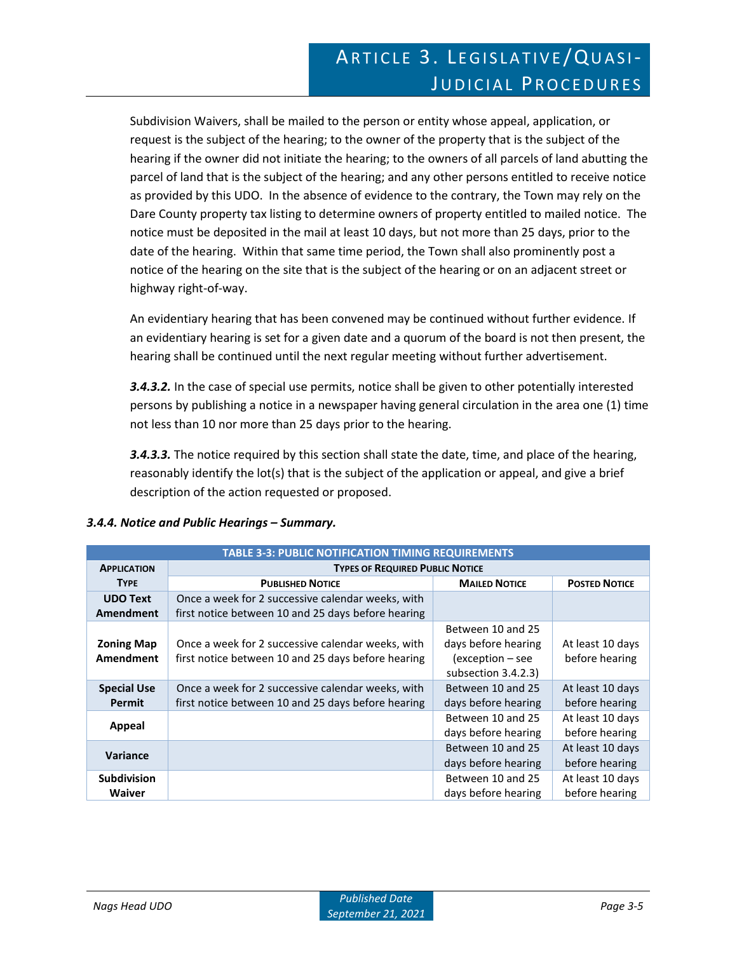Subdivision Waivers, shall be mailed to the person or entity whose appeal, application, or request is the subject of the hearing; to the owner of the property that is the subject of the hearing if the owner did not initiate the hearing; to the owners of all parcels of land abutting the parcel of land that is the subject of the hearing; and any other persons entitled to receive notice as provided by this UDO. In the absence of evidence to the contrary, the Town may rely on the Dare County property tax listing to determine owners of property entitled to mailed notice. The notice must be deposited in the mail at least 10 days, but not more than 25 days, prior to the date of the hearing. Within that same time period, the Town shall also prominently post a notice of the hearing on the site that is the subject of the hearing or on an adjacent street or highway right-of-way.

An evidentiary hearing that has been convened may be continued without further evidence. If an evidentiary hearing is set for a given date and a quorum of the board is not then present, the hearing shall be continued until the next regular meeting without further advertisement.

*3.4.3.2.* In the case of special use permits, notice shall be given to other potentially interested persons by publishing a notice in a newspaper having general circulation in the area one (1) time not less than 10 nor more than 25 days prior to the hearing.

*3.4.3.3.* The notice required by this section shall state the date, time, and place of the hearing, reasonably identify the lot(s) that is the subject of the application or appeal, and give a brief description of the action requested or proposed.

|  |  | 3.4.4. Notice and Public Hearings - Summary. |  |
|--|--|----------------------------------------------|--|
|  |  |                                              |  |

| <b>TABLE 3-3: PUBLIC NOTIFICATION TIMING REQUIREMENTS</b> |                                                    |                     |                      |  |
|-----------------------------------------------------------|----------------------------------------------------|---------------------|----------------------|--|
| <b>APPLICATION</b>                                        | <b>TYPES OF REQUIRED PUBLIC NOTICE</b>             |                     |                      |  |
| <b>TYPE</b>                                               | <b>PUBLISHED NOTICE</b>                            |                     | <b>POSTED NOTICE</b> |  |
| <b>UDO Text</b>                                           | Once a week for 2 successive calendar weeks, with  |                     |                      |  |
| Amendment                                                 | first notice between 10 and 25 days before hearing |                     |                      |  |
|                                                           |                                                    | Between 10 and 25   |                      |  |
| <b>Zoning Map</b>                                         | Once a week for 2 successive calendar weeks, with  | days before hearing | At least 10 days     |  |
| Amendment                                                 | first notice between 10 and 25 days before hearing | (exception – see    | before hearing       |  |
|                                                           |                                                    | subsection 3.4.2.3) |                      |  |
| <b>Special Use</b>                                        | Once a week for 2 successive calendar weeks, with  | Between 10 and 25   | At least 10 days     |  |
| Permit                                                    | first notice between 10 and 25 days before hearing | days before hearing | before hearing       |  |
| Appeal                                                    |                                                    | Between 10 and 25   | At least 10 days     |  |
|                                                           |                                                    | days before hearing | before hearing       |  |
| Variance                                                  |                                                    | Between 10 and 25   | At least 10 days     |  |
|                                                           |                                                    | days before hearing | before hearing       |  |
| <b>Subdivision</b>                                        |                                                    | Between 10 and 25   | At least 10 days     |  |
| <b>Waiver</b>                                             |                                                    | days before hearing | before hearing       |  |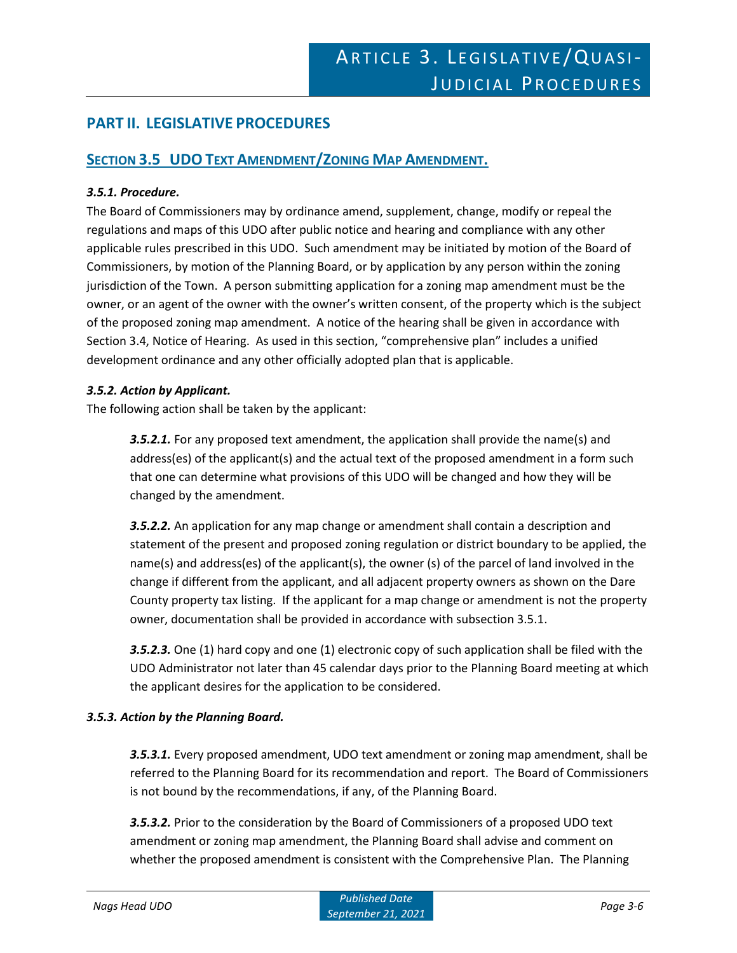# **PART II. LEGISLATIVE PROCEDURES**

### **SECTION 3.5 UDO TEXT AMENDMENT/ZONING MAP AMENDMENT.**

#### *3.5.1. Procedure.*

The Board of Commissioners may by ordinance amend, supplement, change, modify or repeal the regulations and maps of this UDO after public notice and hearing and compliance with any other applicable rules prescribed in this UDO. Such amendment may be initiated by motion of the Board of Commissioners, by motion of the Planning Board, or by application by any person within the zoning jurisdiction of the Town. A person submitting application for a zoning map amendment must be the owner, or an agent of the owner with the owner's written consent, of the property which is the subject of the proposed zoning map amendment. A notice of the hearing shall be given in accordance with Section 3.4, Notice of Hearing. As used in this section, "comprehensive plan" includes a unified development ordinance and any other officially adopted plan that is applicable.

#### *3.5.2. Action by Applicant.*

The following action shall be taken by the applicant:

*3.5.2.1.* For any proposed text amendment, the application shall provide the name(s) and address(es) of the applicant(s) and the actual text of the proposed amendment in a form such that one can determine what provisions of this UDO will be changed and how they will be changed by the amendment.

*3.5.2.2.* An application for any map change or amendment shall contain a description and statement of the present and proposed zoning regulation or district boundary to be applied, the name(s) and address(es) of the applicant(s), the owner (s) of the parcel of land involved in the change if different from the applicant, and all adjacent property owners as shown on the Dare County property tax listing. If the applicant for a map change or amendment is not the property owner, documentation shall be provided in accordance with subsection 3.5.1.

*3.5.2.3.* One (1) hard copy and one (1) electronic copy of such application shall be filed with the UDO Administrator not later than 45 calendar days prior to the Planning Board meeting at which the applicant desires for the application to be considered.

#### *3.5.3. Action by the Planning Board.*

*3.5.3.1.* Every proposed amendment, UDO text amendment or zoning map amendment, shall be referred to the Planning Board for its recommendation and report. The Board of Commissioners is not bound by the recommendations, if any, of the Planning Board.

*3.5.3.2.* Prior to the consideration by the Board of Commissioners of a proposed UDO text amendment or zoning map amendment, the Planning Board shall advise and comment on whether the proposed amendment is consistent with the Comprehensive Plan. The Planning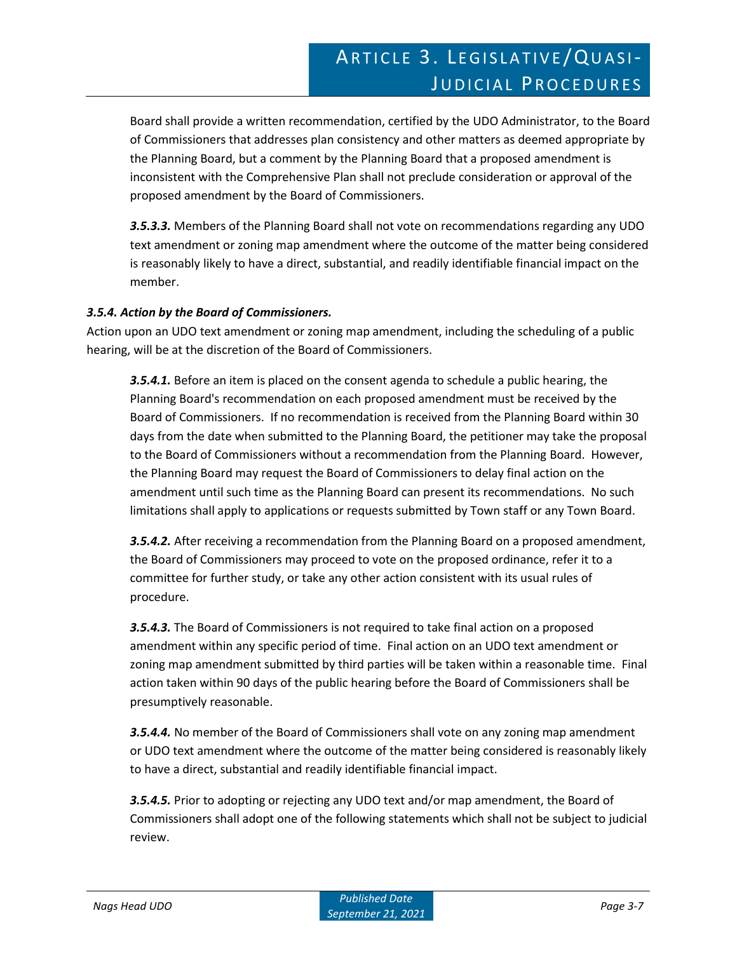Board shall provide a written recommendation, certified by the UDO Administrator, to the Board of Commissioners that addresses plan consistency and other matters as deemed appropriate by the Planning Board, but a comment by the Planning Board that a proposed amendment is inconsistent with the Comprehensive Plan shall not preclude consideration or approval of the proposed amendment by the Board of Commissioners.

*3.5.3.3.* Members of the Planning Board shall not vote on recommendations regarding any UDO text amendment or zoning map amendment where the outcome of the matter being considered is reasonably likely to have a direct, substantial, and readily identifiable financial impact on the member.

#### *3.5.4. Action by the Board of Commissioners.*

Action upon an UDO text amendment or zoning map amendment, including the scheduling of a public hearing, will be at the discretion of the Board of Commissioners.

*3.5.4.1.* Before an item is placed on the consent agenda to schedule a public hearing, the Planning Board's recommendation on each proposed amendment must be received by the Board of Commissioners. If no recommendation is received from the Planning Board within 30 days from the date when submitted to the Planning Board, the petitioner may take the proposal to the Board of Commissioners without a recommendation from the Planning Board. However, the Planning Board may request the Board of Commissioners to delay final action on the amendment until such time as the Planning Board can present its recommendations. No such limitations shall apply to applications or requests submitted by Town staff or any Town Board.

*3.5.4.2.* After receiving a recommendation from the Planning Board on a proposed amendment, the Board of Commissioners may proceed to vote on the proposed ordinance, refer it to a committee for further study, or take any other action consistent with its usual rules of procedure.

*3.5.4.3.* The Board of Commissioners is not required to take final action on a proposed amendment within any specific period of time. Final action on an UDO text amendment or zoning map amendment submitted by third parties will be taken within a reasonable time. Final action taken within 90 days of the public hearing before the Board of Commissioners shall be presumptively reasonable.

*3.5.4.4.* No member of the Board of Commissioners shall vote on any zoning map amendment or UDO text amendment where the outcome of the matter being considered is reasonably likely to have a direct, substantial and readily identifiable financial impact.

*3.5.4.5.* Prior to adopting or rejecting any UDO text and/or map amendment, the Board of Commissioners shall adopt one of the following statements which shall not be subject to judicial review.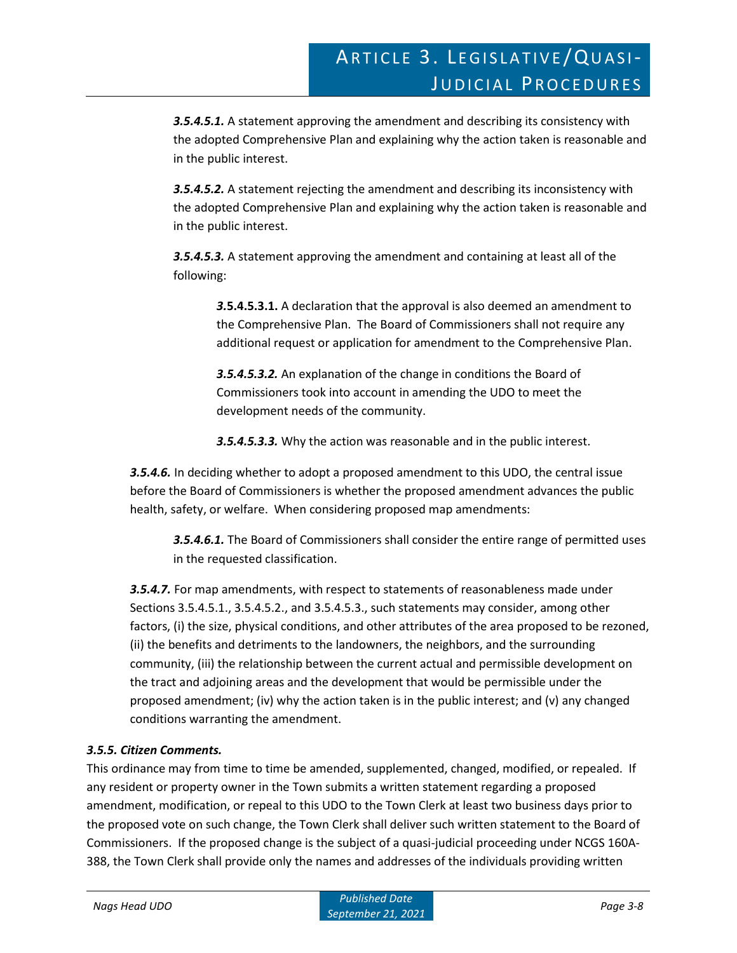*3.5.4.5.1.* A statement approving the amendment and describing its consistency with the adopted Comprehensive Plan and explaining why the action taken is reasonable and in the public interest.

*3.5.4.5.2.* A statement rejecting the amendment and describing its inconsistency with the adopted Comprehensive Plan and explaining why the action taken is reasonable and in the public interest.

*3.5.4.5.3.* A statement approving the amendment and containing at least all of the following:

*3.***5.4.5.3.1.** A declaration that the approval is also deemed an amendment to the Comprehensive Plan. The Board of Commissioners shall not require any additional request or application for amendment to the Comprehensive Plan.

*3.5.4.5.3.2.* An explanation of the change in conditions the Board of Commissioners took into account in amending the UDO to meet the development needs of the community.

*3.5.4.5.3.3.* Why the action was reasonable and in the public interest.

*3.5.4.6.* In deciding whether to adopt a proposed amendment to this UDO, the central issue before the Board of Commissioners is whether the proposed amendment advances the public health, safety, or welfare. When considering proposed map amendments:

*3.5.4.6.1.* The Board of Commissioners shall consider the entire range of permitted uses in the requested classification.

*3.5.4.7.* For map amendments, with respect to statements of reasonableness made under Sections 3.5.4.5.1., 3.5.4.5.2., and 3.5.4.5.3., such statements may consider, among other factors, (i) the size, physical conditions, and other attributes of the area proposed to be rezoned, (ii) the benefits and detriments to the landowners, the neighbors, and the surrounding community, (iii) the relationship between the current actual and permissible development on the tract and adjoining areas and the development that would be permissible under the proposed amendment; (iv) why the action taken is in the public interest; and (v) any changed conditions warranting the amendment.

### *3.5.5. Citizen Comments.*

This ordinance may from time to time be amended, supplemented, changed, modified, or repealed. If any resident or property owner in the Town submits a written statement regarding a proposed amendment, modification, or repeal to this UDO to the Town Clerk at least two business days prior to the proposed vote on such change, the Town Clerk shall deliver such written statement to the Board of Commissioners. If the proposed change is the subject of a quasi-judicial proceeding under NCGS 160A-388, the Town Clerk shall provide only the names and addresses of the individuals providing written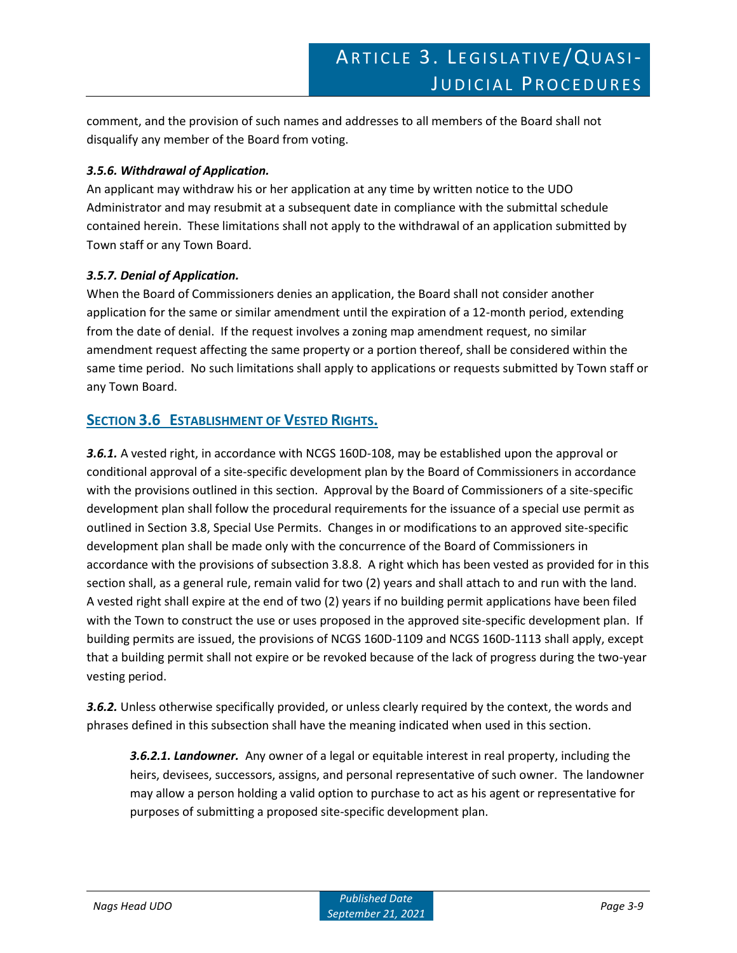comment, and the provision of such names and addresses to all members of the Board shall not disqualify any member of the Board from voting.

#### *3.5.6. Withdrawal of Application.*

An applicant may withdraw his or her application at any time by written notice to the UDO Administrator and may resubmit at a subsequent date in compliance with the submittal schedule contained herein. These limitations shall not apply to the withdrawal of an application submitted by Town staff or any Town Board.

#### *3.5.7. Denial of Application.*

When the Board of Commissioners denies an application, the Board shall not consider another application for the same or similar amendment until the expiration of a 12-month period, extending from the date of denial. If the request involves a zoning map amendment request, no similar amendment request affecting the same property or a portion thereof, shall be considered within the same time period. No such limitations shall apply to applications or requests submitted by Town staff or any Town Board.

# **SECTION 3.6 ESTABLISHMENT OF VESTED RIGHTS.**

*3.6.1.* A vested right, in accordance with NCGS 160D-108, may be established upon the approval or conditional approval of a site-specific development plan by the Board of Commissioners in accordance with the provisions outlined in this section. Approval by the Board of Commissioners of a site-specific development plan shall follow the procedural requirements for the issuance of a special use permit as outlined in Section 3.8, Special Use Permits. Changes in or modifications to an approved site-specific development plan shall be made only with the concurrence of the Board of Commissioners in accordance with the provisions of subsection 3.8.8. A right which has been vested as provided for in this section shall, as a general rule, remain valid for two (2) years and shall attach to and run with the land. A vested right shall expire at the end of two (2) years if no building permit applications have been filed with the Town to construct the use or uses proposed in the approved site-specific development plan. If building permits are issued, the provisions of NCGS 160D-1109 and NCGS 160D-1113 shall apply, except that a building permit shall not expire or be revoked because of the lack of progress during the two-year vesting period.

*3.6.2.* Unless otherwise specifically provided, or unless clearly required by the context, the words and phrases defined in this subsection shall have the meaning indicated when used in this section.

*3.6.2.1. Landowner.* Any owner of a legal or equitable interest in real property, including the heirs, devisees, successors, assigns, and personal representative of such owner. The landowner may allow a person holding a valid option to purchase to act as his agent or representative for purposes of submitting a proposed site-specific development plan.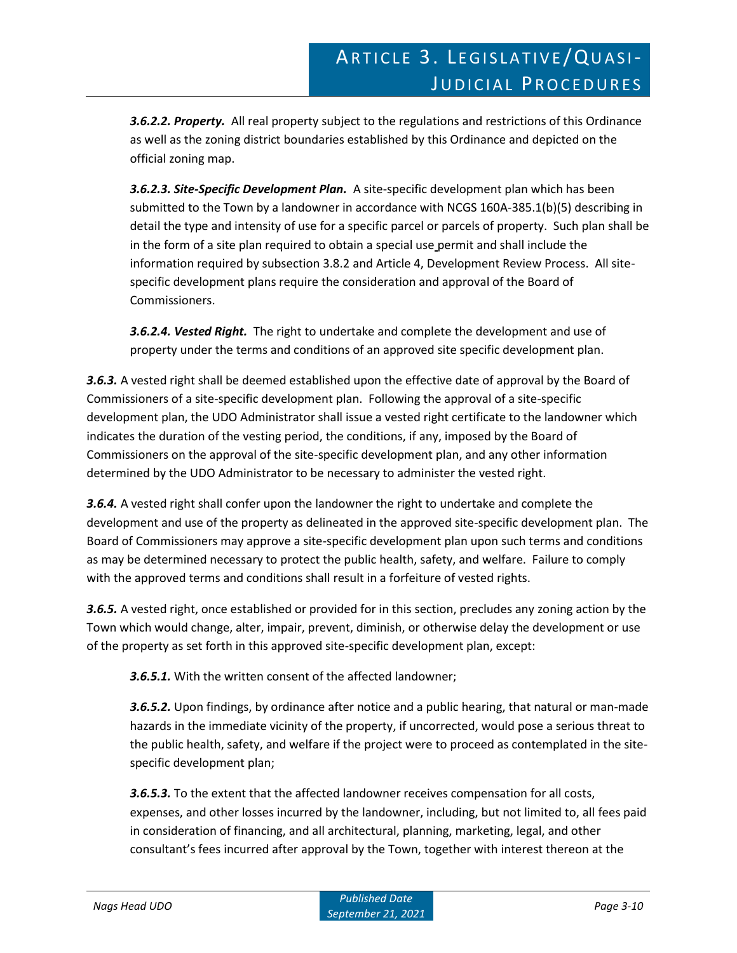*3.6.2.2. Property.* All real property subject to the regulations and restrictions of this Ordinance as well as the zoning district boundaries established by this Ordinance and depicted on the official zoning map.

*3.6.2.3. Site-Specific Development Plan.* A site-specific development plan which has been submitted to the Town by a landowner in accordance with NCGS 160A-385.1(b)(5) describing in detail the type and intensity of use for a specific parcel or parcels of property. Such plan shall be in the form of a site plan required to obtain a special use permit and shall include the information required by subsection 3.8.2 and Article 4, Development Review Process. All sitespecific development plans require the consideration and approval of the Board of Commissioners.

*3.6.2.4. Vested Right.* The right to undertake and complete the development and use of property under the terms and conditions of an approved site specific development plan.

*3.6.3.* A vested right shall be deemed established upon the effective date of approval by the Board of Commissioners of a site-specific development plan. Following the approval of a site-specific development plan, the UDO Administrator shall issue a vested right certificate to the landowner which indicates the duration of the vesting period, the conditions, if any, imposed by the Board of Commissioners on the approval of the site-specific development plan, and any other information determined by the UDO Administrator to be necessary to administer the vested right.

*3.6.4.* A vested right shall confer upon the landowner the right to undertake and complete the development and use of the property as delineated in the approved site-specific development plan. The Board of Commissioners may approve a site-specific development plan upon such terms and conditions as may be determined necessary to protect the public health, safety, and welfare. Failure to comply with the approved terms and conditions shall result in a forfeiture of vested rights.

*3.6.5.* A vested right, once established or provided for in this section, precludes any zoning action by the Town which would change, alter, impair, prevent, diminish, or otherwise delay the development or use of the property as set forth in this approved site-specific development plan, except:

*3.6.5.1.* With the written consent of the affected landowner;

*3.6.5.2.* Upon findings, by ordinance after notice and a public hearing, that natural or man-made hazards in the immediate vicinity of the property, if uncorrected, would pose a serious threat to the public health, safety, and welfare if the project were to proceed as contemplated in the sitespecific development plan;

*3.6.5.3.* To the extent that the affected landowner receives compensation for all costs, expenses, and other losses incurred by the landowner, including, but not limited to, all fees paid in consideration of financing, and all architectural, planning, marketing, legal, and other consultant's fees incurred after approval by the Town, together with interest thereon at the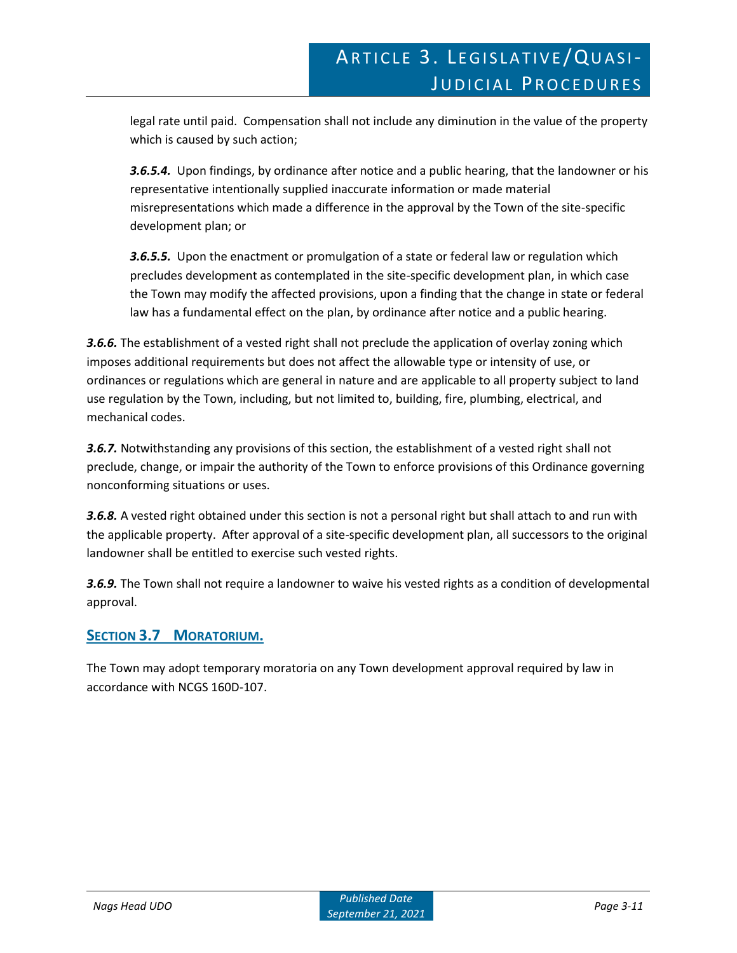legal rate until paid. Compensation shall not include any diminution in the value of the property which is caused by such action;

*3.6.5.4.* Upon findings, by ordinance after notice and a public hearing, that the landowner or his representative intentionally supplied inaccurate information or made material misrepresentations which made a difference in the approval by the Town of the site-specific development plan; or

*3.6.5.5.* Upon the enactment or promulgation of a state or federal law or regulation which precludes development as contemplated in the site-specific development plan, in which case the Town may modify the affected provisions, upon a finding that the change in state or federal law has a fundamental effect on the plan, by ordinance after notice and a public hearing.

*3.6.6.* The establishment of a vested right shall not preclude the application of overlay zoning which imposes additional requirements but does not affect the allowable type or intensity of use, or ordinances or regulations which are general in nature and are applicable to all property subject to land use regulation by the Town, including, but not limited to, building, fire, plumbing, electrical, and mechanical codes.

*3.6.7.* Notwithstanding any provisions of this section, the establishment of a vested right shall not preclude, change, or impair the authority of the Town to enforce provisions of this Ordinance governing nonconforming situations or uses.

*3.6.8.* A vested right obtained under this section is not a personal right but shall attach to and run with the applicable property. After approval of a site-specific development plan, all successors to the original landowner shall be entitled to exercise such vested rights.

*3.6.9.* The Town shall not require a landowner to waive his vested rights as a condition of developmental approval.

# **SECTION 3.7 MORATORIUM.**

The Town may adopt temporary moratoria on any Town development approval required by law in accordance with NCGS 160D-107.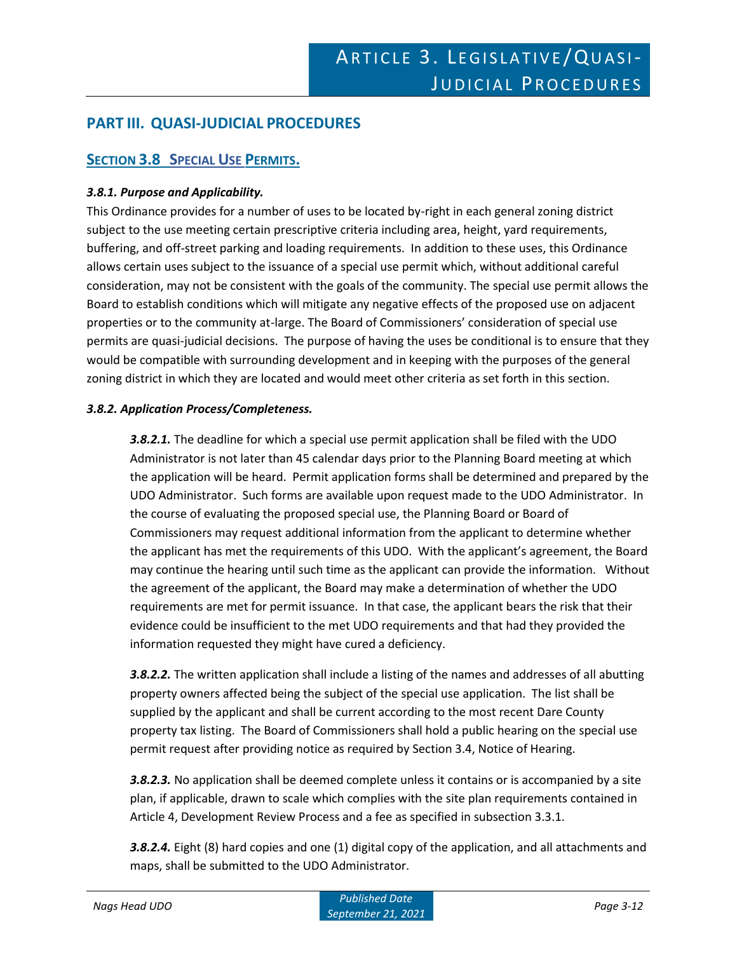# **PART III. QUASI-JUDICIAL PROCEDURES**

# **SECTION 3.8 SPECIAL USE PERMITS.**

#### *3.8.1. Purpose and Applicability.*

This Ordinance provides for a number of uses to be located by-right in each general zoning district subject to the use meeting certain prescriptive criteria including area, height, yard requirements, buffering, and off-street parking and loading requirements. In addition to these uses, this Ordinance allows certain uses subject to the issuance of a special use permit which, without additional careful consideration, may not be consistent with the goals of the community. The special use permit allows the Board to establish conditions which will mitigate any negative effects of the proposed use on adjacent properties or to the community at-large. The Board of Commissioners' consideration of special use permits are quasi-judicial decisions. The purpose of having the uses be conditional is to ensure that they would be compatible with surrounding development and in keeping with the purposes of the general zoning district in which they are located and would meet other criteria as set forth in this section.

#### *3.8.2. Application Process/Completeness.*

*3.8.2.1.* The deadline for which a special use permit application shall be filed with the UDO Administrator is not later than 45 calendar days prior to the Planning Board meeting at which the application will be heard. Permit application forms shall be determined and prepared by the UDO Administrator. Such forms are available upon request made to the UDO Administrator. In the course of evaluating the proposed special use, the Planning Board or Board of Commissioners may request additional information from the applicant to determine whether the applicant has met the requirements of this UDO. With the applicant's agreement, the Board may continue the hearing until such time as the applicant can provide the information. Without the agreement of the applicant, the Board may make a determination of whether the UDO requirements are met for permit issuance. In that case, the applicant bears the risk that their evidence could be insufficient to the met UDO requirements and that had they provided the information requested they might have cured a deficiency.

*3.8.2.2.* The written application shall include a listing of the names and addresses of all abutting property owners affected being the subject of the special use application. The list shall be supplied by the applicant and shall be current according to the most recent Dare County property tax listing. The Board of Commissioners shall hold a public hearing on the special use permit request after providing notice as required by Section 3.4, Notice of Hearing.

*3.8.2.3.* No application shall be deemed complete unless it contains or is accompanied by a site plan, if applicable, drawn to scale which complies with the site plan requirements contained in Article 4, Development Review Process and a fee as specified in subsection 3.3.1.

*3.8.2.4.* Eight (8) hard copies and one (1) digital copy of the application, and all attachments and maps, shall be submitted to the UDO Administrator.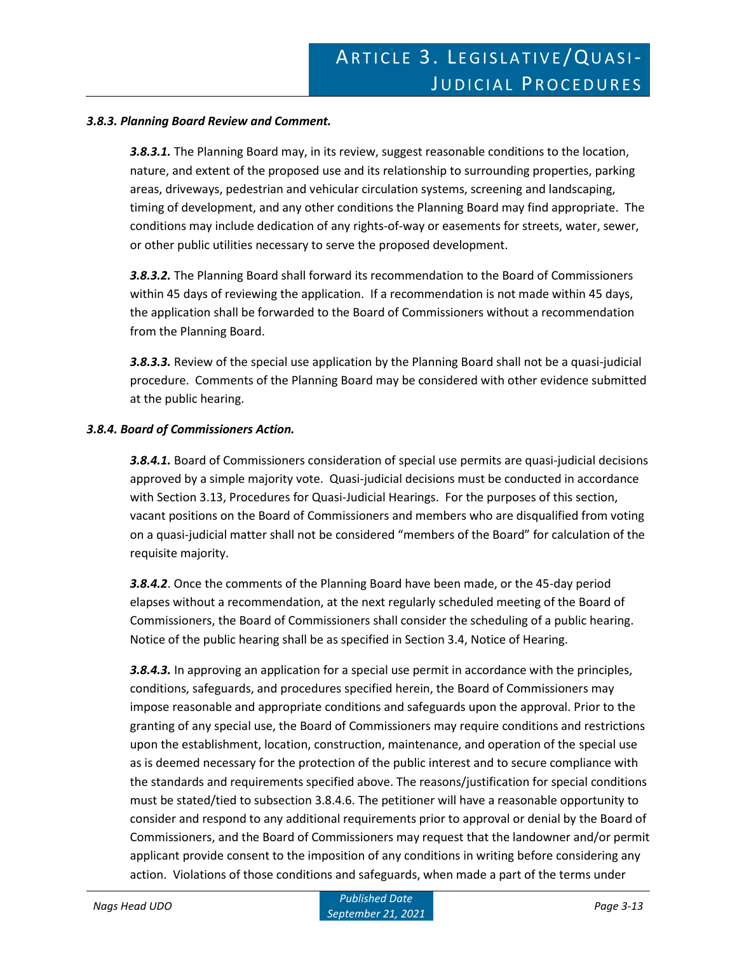#### *3.8.3. Planning Board Review and Comment.*

*3.8.3.1.* The Planning Board may, in its review, suggest reasonable conditions to the location, nature, and extent of the proposed use and its relationship to surrounding properties, parking areas, driveways, pedestrian and vehicular circulation systems, screening and landscaping, timing of development, and any other conditions the Planning Board may find appropriate. The conditions may include dedication of any rights-of-way or easements for streets, water, sewer, or other public utilities necessary to serve the proposed development.

*3.8.3.2.* The Planning Board shall forward its recommendation to the Board of Commissioners within 45 days of reviewing the application. If a recommendation is not made within 45 days, the application shall be forwarded to the Board of Commissioners without a recommendation from the Planning Board.

*3.8.3.3.* Review of the special use application by the Planning Board shall not be a quasi-judicial procedure. Comments of the Planning Board may be considered with other evidence submitted at the public hearing.

#### *3.8.4. Board of Commissioners Action.*

*3.8.4.1.* Board of Commissioners consideration of special use permits are quasi-judicial decisions approved by a simple majority vote. Quasi-judicial decisions must be conducted in accordance with Section 3.13, Procedures for Quasi-Judicial Hearings. For the purposes of this section, vacant positions on the Board of Commissioners and members who are disqualified from voting on a quasi-judicial matter shall not be considered "members of the Board" for calculation of the requisite majority.

*3.8.4.2*. Once the comments of the Planning Board have been made, or the 45-day period elapses without a recommendation, at the next regularly scheduled meeting of the Board of Commissioners, the Board of Commissioners shall consider the scheduling of a public hearing. Notice of the public hearing shall be as specified in Section 3.4, Notice of Hearing.

*3.8.4.3.* In approving an application for a special use permit in accordance with the principles, conditions, safeguards, and procedures specified herein, the Board of Commissioners may impose reasonable and appropriate conditions and safeguards upon the approval. Prior to the granting of any special use, the Board of Commissioners may require conditions and restrictions upon the establishment, location, construction, maintenance, and operation of the special use as is deemed necessary for the protection of the public interest and to secure compliance with the standards and requirements specified above. The reasons/justification for special conditions must be stated/tied to subsection 3.8.4.6. The petitioner will have a reasonable opportunity to consider and respond to any additional requirements prior to approval or denial by the Board of Commissioners, and the Board of Commissioners may request that the landowner and/or permit applicant provide consent to the imposition of any conditions in writing before considering any action. Violations of those conditions and safeguards, when made a part of the terms under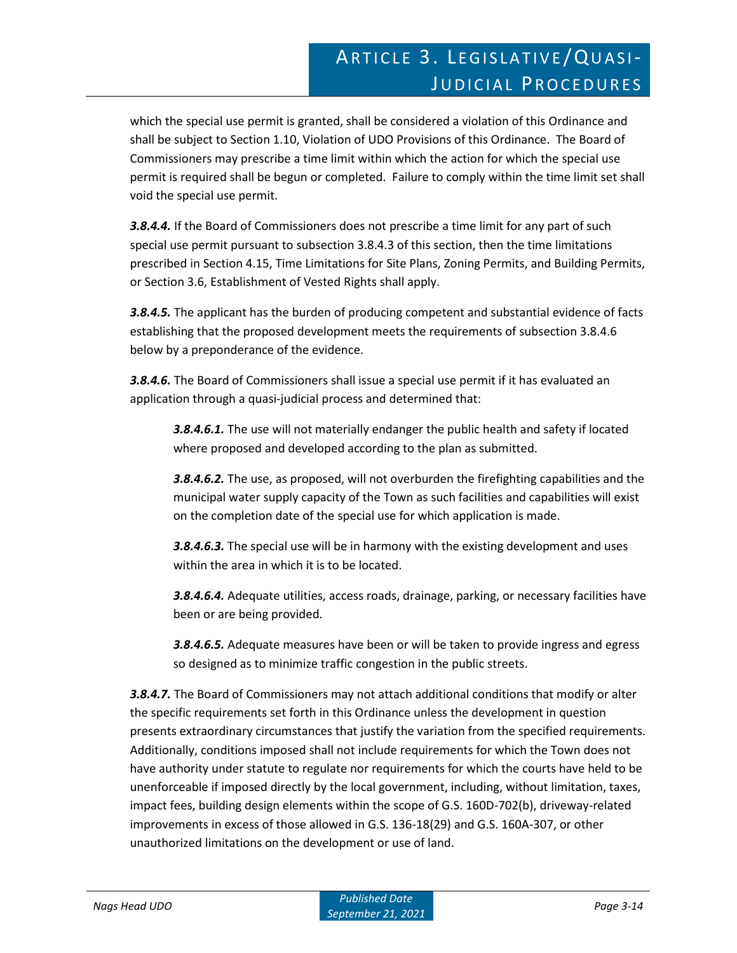which the special use permit is granted, shall be considered a violation of this Ordinance and shall be subject to Section 1.10, Violation of UDO Provisions of this Ordinance. The Board of Commissioners may prescribe a time limit within which the action for which the special use permit is required shall be begun or completed. Failure to comply within the time limit set shall void the special use permit.

*3.8.4.4.* If the Board of Commissioners does not prescribe a time limit for any part of such special use permit pursuant to subsection 3.8.4.3 of this section, then the time limitations prescribed in Section 4.15, Time Limitations for Site Plans, Zoning Permits, and Building Permits, or Section 3.6, Establishment of Vested Rights shall apply.

*3.8.4.5.* The applicant has the burden of producing competent and substantial evidence of facts establishing that the proposed development meets the requirements of subsection 3.8.4.6 below by a preponderance of the evidence.

*3.8.4.6.* The Board of Commissioners shall issue a special use permit if it has evaluated an application through a quasi-judicial process and determined that:

*3.8.4.6.1.* The use will not materially endanger the public health and safety if located where proposed and developed according to the plan as submitted.

*3.8.4.6.2.* The use, as proposed, will not overburden the firefighting capabilities and the municipal water supply capacity of the Town as such facilities and capabilities will exist on the completion date of the special use for which application is made.

*3.8.4.6.3.* The special use will be in harmony with the existing development and uses within the area in which it is to be located.

*3.8.4.6.4.* Adequate utilities, access roads, drainage, parking, or necessary facilities have been or are being provided.

*3.8.4.6.5.* Adequate measures have been or will be taken to provide ingress and egress so designed as to minimize traffic congestion in the public streets.

*3.8.4.7.* The Board of Commissioners may not attach additional conditions that modify or alter the specific requirements set forth in this Ordinance unless the development in question presents extraordinary circumstances that justify the variation from the specified requirements. Additionally, conditions imposed shall not include requirements for which the Town does not have authority under statute to regulate nor requirements for which the courts have held to be unenforceable if imposed directly by the local government, including, without limitation, taxes, impact fees, building design elements within the scope of G.S. 160D-702(b), driveway-related improvements in excess of those allowed in G.S. 136-18(29) and G.S. 160A-307, or other unauthorized limitations on the development or use of land.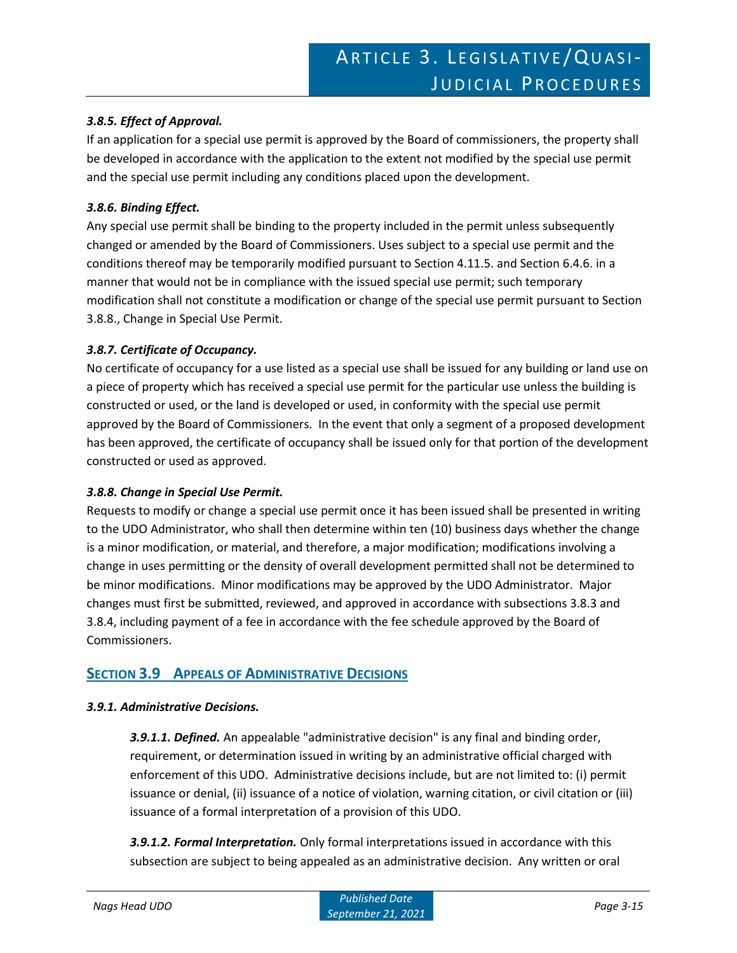### *3.8.5. Effect of Approval.*

If an application for a special use permit is approved by the Board of commissioners, the property shall be developed in accordance with the application to the extent not modified by the special use permit and the special use permit including any conditions placed upon the development.

#### *3.8.6. Binding Effect.*

Any special use permit shall be binding to the property included in the permit unless subsequently changed or amended by the Board of Commissioners. Uses subject to a special use permit and the conditions thereof may be temporarily modified pursuant to Section 4.11.5. and Section 6.4.6. in a manner that would not be in compliance with the issued special use permit; such temporary modification shall not constitute a modification or change of the special use permit pursuant to Section 3.8.8., Change in Special Use Permit.

#### *3.8.7. Certificate of Occupancy.*

No certificate of occupancy for a use listed as a special use shall be issued for any building or land use on a piece of property which has received a special use permit for the particular use unless the building is constructed or used, or the land is developed or used, in conformity with the special use permit approved by the Board of Commissioners. In the event that only a segment of a proposed development has been approved, the certificate of occupancy shall be issued only for that portion of the development constructed or used as approved.

#### *3.8.8. Change in Special Use Permit.*

Requests to modify or change a special use permit once it has been issued shall be presented in writing to the UDO Administrator, who shall then determine within ten (10) business days whether the change is a minor modification, or material, and therefore, a major modification; modifications involving a change in uses permitting or the density of overall development permitted shall not be determined to be minor modifications. Minor modifications may be approved by the UDO Administrator. Major changes must first be submitted, reviewed, and approved in accordance with subsections 3.8.3 and 3.8.4, including payment of a fee in accordance with the fee schedule approved by the Board of Commissioners.

### **SECTION 3.9 APPEALS OF ADMINISTRATIVE DECISIONS**

#### *3.9.1. Administrative Decisions.*

*3.9.1.1. Defined.* An appealable "administrative decision" is any final and binding order, requirement, or determination issued in writing by an administrative official charged with enforcement of this UDO. Administrative decisions include, but are not limited to: (i) permit issuance or denial, (ii) issuance of a notice of violation, warning citation, or civil citation or (iii) issuance of a formal interpretation of a provision of this UDO.

*3.9.1.2. Formal Interpretation.* Only formal interpretations issued in accordance with this subsection are subject to being appealed as an administrative decision. Any written or oral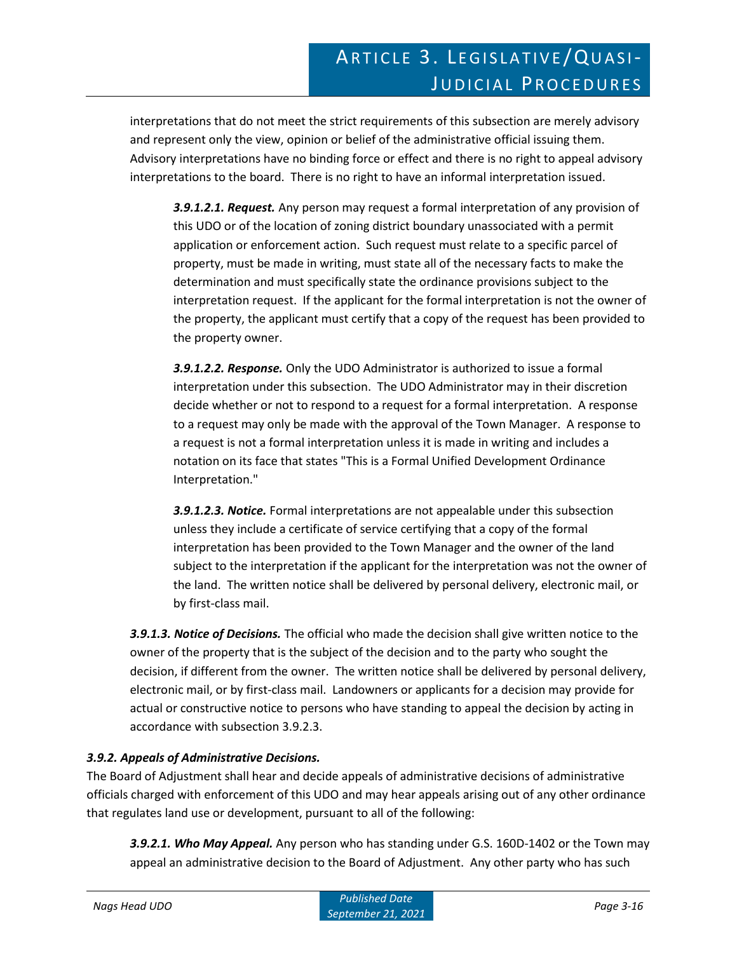interpretations that do not meet the strict requirements of this subsection are merely advisory and represent only the view, opinion or belief of the administrative official issuing them. Advisory interpretations have no binding force or effect and there is no right to appeal advisory interpretations to the board. There is no right to have an informal interpretation issued.

*3.9.1.2.1. Request.* Any person may request a formal interpretation of any provision of this UDO or of the location of zoning district boundary unassociated with a permit application or enforcement action. Such request must relate to a specific parcel of property, must be made in writing, must state all of the necessary facts to make the determination and must specifically state the ordinance provisions subject to the interpretation request. If the applicant for the formal interpretation is not the owner of the property, the applicant must certify that a copy of the request has been provided to the property owner.

*3.9.1.2.2. Response.* Only the UDO Administrator is authorized to issue a formal interpretation under this subsection. The UDO Administrator may in their discretion decide whether or not to respond to a request for a formal interpretation. A response to a request may only be made with the approval of the Town Manager. A response to a request is not a formal interpretation unless it is made in writing and includes a notation on its face that states "This is a Formal Unified Development Ordinance Interpretation."

*3.9.1.2.3. Notice.* Formal interpretations are not appealable under this subsection unless they include a certificate of service certifying that a copy of the formal interpretation has been provided to the Town Manager and the owner of the land subject to the interpretation if the applicant for the interpretation was not the owner of the land. The written notice shall be delivered by personal delivery, electronic mail, or by first-class mail.

*3.9.1.3. Notice of Decisions.* The official who made the decision shall give written notice to the owner of the property that is the subject of the decision and to the party who sought the decision, if different from the owner. The written notice shall be delivered by personal delivery, electronic mail, or by first-class mail. Landowners or applicants for a decision may provide for actual or constructive notice to persons who have standing to appeal the decision by acting in accordance with subsection 3.9.2.3.

### *3.9.2. Appeals of Administrative Decisions.*

The Board of Adjustment shall hear and decide appeals of administrative decisions of administrative officials charged with enforcement of this UDO and may hear appeals arising out of any other ordinance that regulates land use or development, pursuant to all of the following:

*3.9.2.1. Who May Appeal.* Any person who has standing under G.S. 160D-1402 or the Town may appeal an administrative decision to the Board of Adjustment. Any other party who has such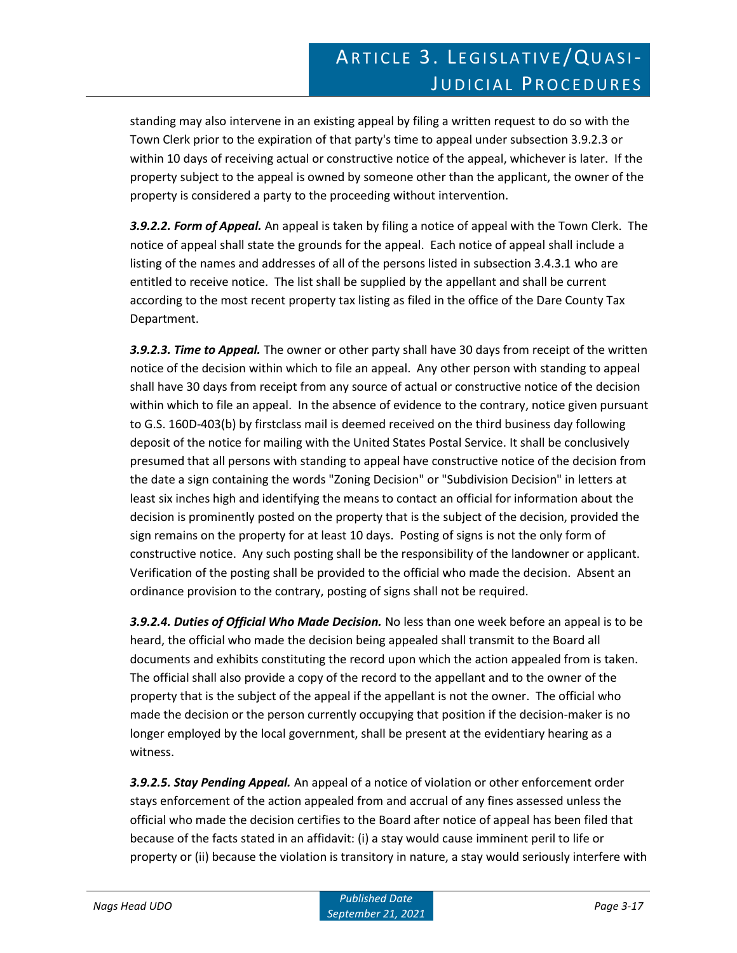standing may also intervene in an existing appeal by filing a written request to do so with the Town Clerk prior to the expiration of that party's time to appeal under subsection 3.9.2.3 or within 10 days of receiving actual or constructive notice of the appeal, whichever is later. If the property subject to the appeal is owned by someone other than the applicant, the owner of the property is considered a party to the proceeding without intervention.

*3.9.2.2. Form of Appeal.* An appeal is taken by filing a notice of appeal with the Town Clerk. The notice of appeal shall state the grounds for the appeal. Each notice of appeal shall include a listing of the names and addresses of all of the persons listed in subsection 3.4.3.1 who are entitled to receive notice. The list shall be supplied by the appellant and shall be current according to the most recent property tax listing as filed in the office of the Dare County Tax Department.

*3.9.2.3. Time to Appeal.* The owner or other party shall have 30 days from receipt of the written notice of the decision within which to file an appeal. Any other person with standing to appeal shall have 30 days from receipt from any source of actual or constructive notice of the decision within which to file an appeal. In the absence of evidence to the contrary, notice given pursuant to G.S. 160D-403(b) by firstclass mail is deemed received on the third business day following deposit of the notice for mailing with the United States Postal Service. It shall be conclusively presumed that all persons with standing to appeal have constructive notice of the decision from the date a sign containing the words "Zoning Decision" or "Subdivision Decision" in letters at least six inches high and identifying the means to contact an official for information about the decision is prominently posted on the property that is the subject of the decision, provided the sign remains on the property for at least 10 days. Posting of signs is not the only form of constructive notice. Any such posting shall be the responsibility of the landowner or applicant. Verification of the posting shall be provided to the official who made the decision. Absent an ordinance provision to the contrary, posting of signs shall not be required.

*3.9.2.4. Duties of Official Who Made Decision.* No less than one week before an appeal is to be heard, the official who made the decision being appealed shall transmit to the Board all documents and exhibits constituting the record upon which the action appealed from is taken. The official shall also provide a copy of the record to the appellant and to the owner of the property that is the subject of the appeal if the appellant is not the owner. The official who made the decision or the person currently occupying that position if the decision-maker is no longer employed by the local government, shall be present at the evidentiary hearing as a witness.

*3.9.2.5. Stay Pending Appeal.* An appeal of a notice of violation or other enforcement order stays enforcement of the action appealed from and accrual of any fines assessed unless the official who made the decision certifies to the Board after notice of appeal has been filed that because of the facts stated in an affidavit: (i) a stay would cause imminent peril to life or property or (ii) because the violation is transitory in nature, a stay would seriously interfere with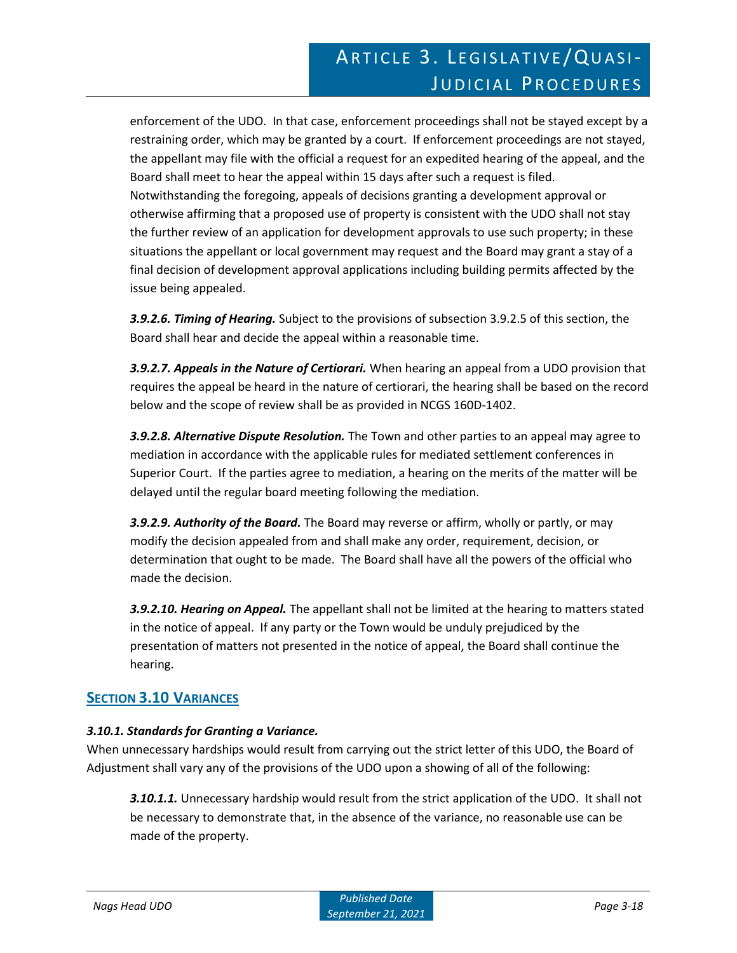enforcement of the UDO. In that case, enforcement proceedings shall not be stayed except by a restraining order, which may be granted by a court. If enforcement proceedings are not stayed, the appellant may file with the official a request for an expedited hearing of the appeal, and the Board shall meet to hear the appeal within 15 days after such a request is filed. Notwithstanding the foregoing, appeals of decisions granting a development approval or otherwise affirming that a proposed use of property is consistent with the UDO shall not stay the further review of an application for development approvals to use such property; in these situations the appellant or local government may request and the Board may grant a stay of a final decision of development approval applications including building permits affected by the issue being appealed.

*3.9.2.6. Timing of Hearing.* Subject to the provisions of subsection 3.9.2.5 of this section, the Board shall hear and decide the appeal within a reasonable time.

*3.9.2.7. Appeals in the Nature of Certiorari.* When hearing an appeal from a UDO provision that requires the appeal be heard in the nature of certiorari, the hearing shall be based on the record below and the scope of review shall be as provided in NCGS 160D-1402.

*3.9.2.8. Alternative Dispute Resolution.* The Town and other parties to an appeal may agree to mediation in accordance with the applicable rules for mediated settlement conferences in Superior Court. If the parties agree to mediation, a hearing on the merits of the matter will be delayed until the regular board meeting following the mediation.

*3.9.2.9. Authority of the Board.* The Board may reverse or affirm, wholly or partly, or may modify the decision appealed from and shall make any order, requirement, decision, or determination that ought to be made. The Board shall have all the powers of the official who made the decision.

*3.9.2.10. Hearing on Appeal.* The appellant shall not be limited at the hearing to matters stated in the notice of appeal. If any party or the Town would be unduly prejudiced by the presentation of matters not presented in the notice of appeal, the Board shall continue the hearing.

# **SECTION 3.10 VARIANCES**

### *3.10.1. Standards for Granting a Variance.*

When unnecessary hardships would result from carrying out the strict letter of this UDO, the Board of Adjustment shall vary any of the provisions of the UDO upon a showing of all of the following:

*3.10.1.1.* Unnecessary hardship would result from the strict application of the UDO. It shall not be necessary to demonstrate that, in the absence of the variance, no reasonable use can be made of the property.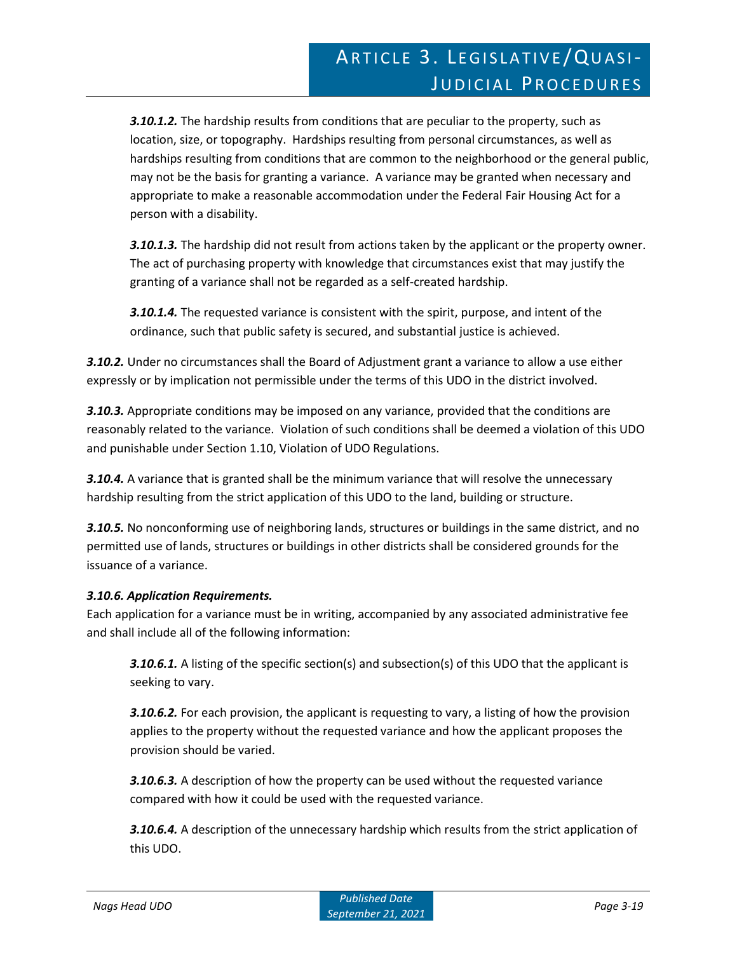*3.10.1.2.* The hardship results from conditions that are peculiar to the property, such as location, size, or topography. Hardships resulting from personal circumstances, as well as hardships resulting from conditions that are common to the neighborhood or the general public, may not be the basis for granting a variance. A variance may be granted when necessary and appropriate to make a reasonable accommodation under the Federal Fair Housing Act for a person with a disability.

*3.10.1.3.* The hardship did not result from actions taken by the applicant or the property owner. The act of purchasing property with knowledge that circumstances exist that may justify the granting of a variance shall not be regarded as a self-created hardship.

*3.10.1.4.* The requested variance is consistent with the spirit, purpose, and intent of the ordinance, such that public safety is secured, and substantial justice is achieved.

*3.10.2.* Under no circumstances shall the Board of Adjustment grant a variance to allow a use either expressly or by implication not permissible under the terms of this UDO in the district involved.

*3.10.3.* Appropriate conditions may be imposed on any variance, provided that the conditions are reasonably related to the variance. Violation of such conditions shall be deemed a violation of this UDO and punishable under Section 1.10, Violation of UDO Regulations.

**3.10.4.** A variance that is granted shall be the minimum variance that will resolve the unnecessary hardship resulting from the strict application of this UDO to the land, building or structure.

*3.10.5.* No nonconforming use of neighboring lands, structures or buildings in the same district, and no permitted use of lands, structures or buildings in other districts shall be considered grounds for the issuance of a variance.

### *3.10.6. Application Requirements.*

Each application for a variance must be in writing, accompanied by any associated administrative fee and shall include all of the following information:

**3.10.6.1.** A listing of the specific section(s) and subsection(s) of this UDO that the applicant is seeking to vary.

*3.10.6.2.* For each provision, the applicant is requesting to vary, a listing of how the provision applies to the property without the requested variance and how the applicant proposes the provision should be varied.

*3.10.6.3.* A description of how the property can be used without the requested variance compared with how it could be used with the requested variance.

*3.10.6.4.* A description of the unnecessary hardship which results from the strict application of this UDO.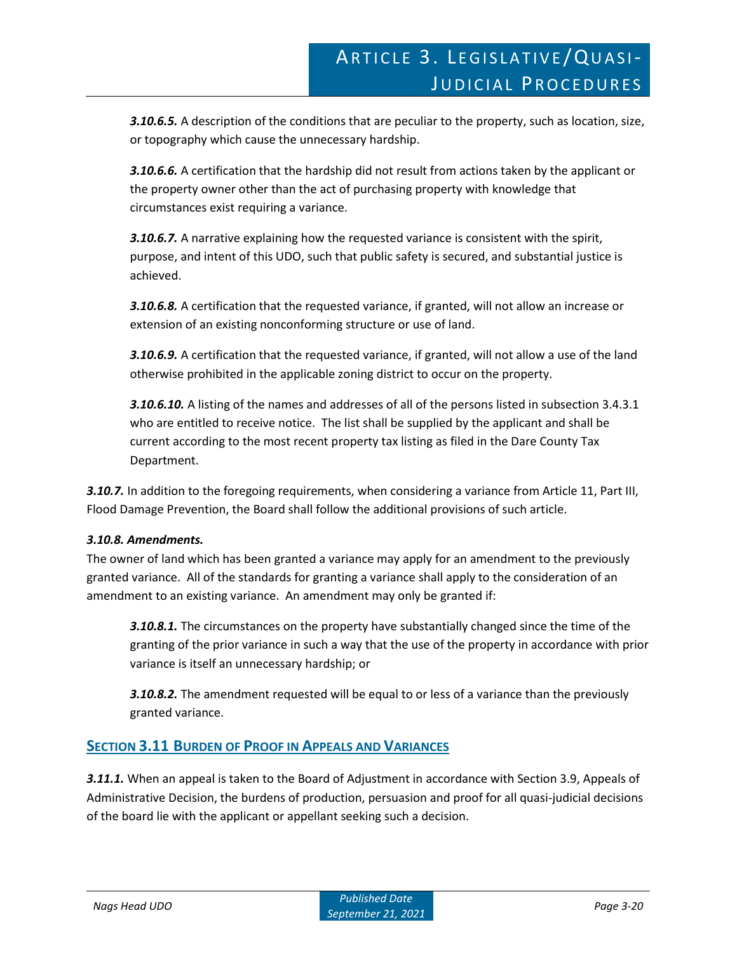*3.10.6.5.* A description of the conditions that are peculiar to the property, such as location, size, or topography which cause the unnecessary hardship.

*3.10.6.6.* A certification that the hardship did not result from actions taken by the applicant or the property owner other than the act of purchasing property with knowledge that circumstances exist requiring a variance.

*3.10.6.7.* A narrative explaining how the requested variance is consistent with the spirit, purpose, and intent of this UDO, such that public safety is secured, and substantial justice is achieved.

*3.10.6.8.* A certification that the requested variance, if granted, will not allow an increase or extension of an existing nonconforming structure or use of land.

*3.10.6.9.* A certification that the requested variance, if granted, will not allow a use of the land otherwise prohibited in the applicable zoning district to occur on the property.

*3.10.6.10.* A listing of the names and addresses of all of the persons listed in subsection 3.4.3.1 who are entitled to receive notice. The list shall be supplied by the applicant and shall be current according to the most recent property tax listing as filed in the Dare County Tax Department.

*3.10.7.* In addition to the foregoing requirements, when considering a variance from Article 11, Part III, Flood Damage Prevention, the Board shall follow the additional provisions of such article.

### *3.10.8. Amendments.*

The owner of land which has been granted a variance may apply for an amendment to the previously granted variance. All of the standards for granting a variance shall apply to the consideration of an amendment to an existing variance. An amendment may only be granted if:

*3.10.8.1.* The circumstances on the property have substantially changed since the time of the granting of the prior variance in such a way that the use of the property in accordance with prior variance is itself an unnecessary hardship; or

*3.10.8.2.* The amendment requested will be equal to or less of a variance than the previously granted variance.

# **SECTION 3.11 BURDEN OF PROOF IN APPEALS AND VARIANCES**

*3.11.1.* When an appeal is taken to the Board of Adjustment in accordance with Section 3.9, Appeals of Administrative Decision, the burdens of production, persuasion and proof for all quasi-judicial decisions of the board lie with the applicant or appellant seeking such a decision.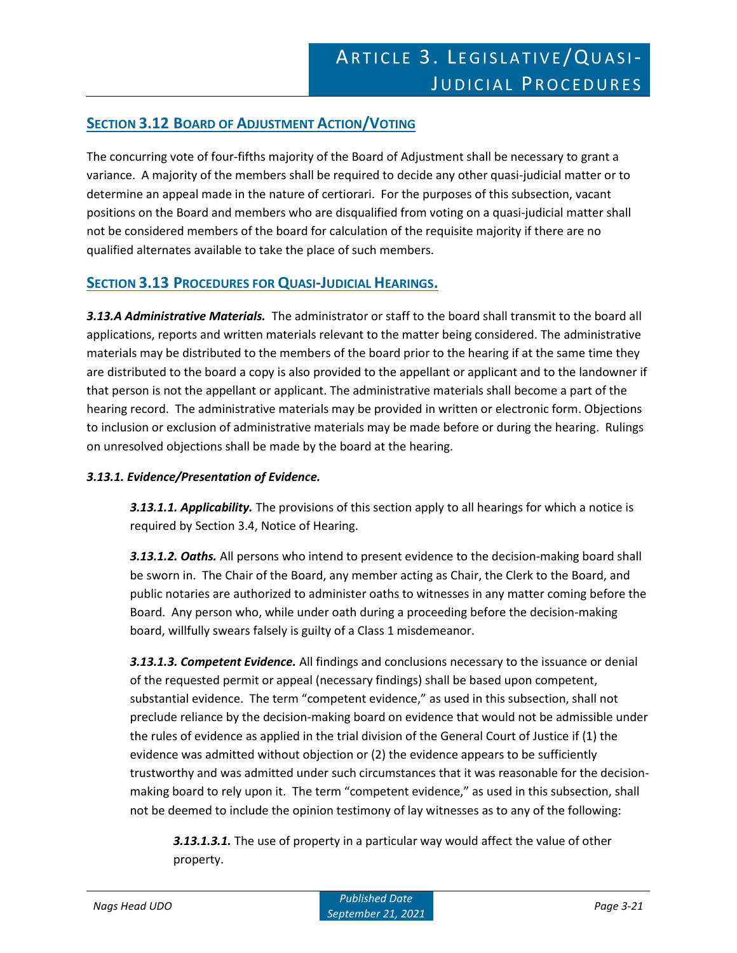# **SECTION 3.12 BOARD OF ADJUSTMENT ACTION/VOTING**

The concurring vote of four-fifths majority of the Board of Adjustment shall be necessary to grant a variance. A majority of the members shall be required to decide any other quasi-judicial matter or to determine an appeal made in the nature of certiorari. For the purposes of this subsection, vacant positions on the Board and members who are disqualified from voting on a quasi-judicial matter shall not be considered members of the board for calculation of the requisite majority if there are no qualified alternates available to take the place of such members.

# **SECTION 3.13 PROCEDURES FOR QUASI-JUDICIAL HEARINGS.**

*3.13.A Administrative Materials.* The administrator or staff to the board shall transmit to the board all applications, reports and written materials relevant to the matter being considered. The administrative materials may be distributed to the members of the board prior to the hearing if at the same time they are distributed to the board a copy is also provided to the appellant or applicant and to the landowner if that person is not the appellant or applicant. The administrative materials shall become a part of the hearing record. The administrative materials may be provided in written or electronic form. Objections to inclusion or exclusion of administrative materials may be made before or during the hearing. Rulings on unresolved objections shall be made by the board at the hearing.

#### *3.13.1. Evidence/Presentation of Evidence.*

*3.13.1.1. Applicability.* The provisions of this section apply to all hearings for which a notice is required by Section 3.4, Notice of Hearing.

*3.13.1.2. Oaths.* All persons who intend to present evidence to the decision-making board shall be sworn in. The Chair of the Board, any member acting as Chair, the Clerk to the Board, and public notaries are authorized to administer oaths to witnesses in any matter coming before the Board. Any person who, while under oath during a proceeding before the decision-making board, willfully swears falsely is guilty of a Class 1 misdemeanor.

*3.13.1.3. Competent Evidence.* All findings and conclusions necessary to the issuance or denial of the requested permit or appeal (necessary findings) shall be based upon competent, substantial evidence. The term "competent evidence," as used in this subsection, shall not preclude reliance by the decision-making board on evidence that would not be admissible under the rules of evidence as applied in the trial division of the General Court of Justice if (1) the evidence was admitted without objection or (2) the evidence appears to be sufficiently trustworthy and was admitted under such circumstances that it was reasonable for the decisionmaking board to rely upon it. The term "competent evidence," as used in this subsection, shall not be deemed to include the opinion testimony of lay witnesses as to any of the following:

*3.13.1.3.1.* The use of property in a particular way would affect the value of other property.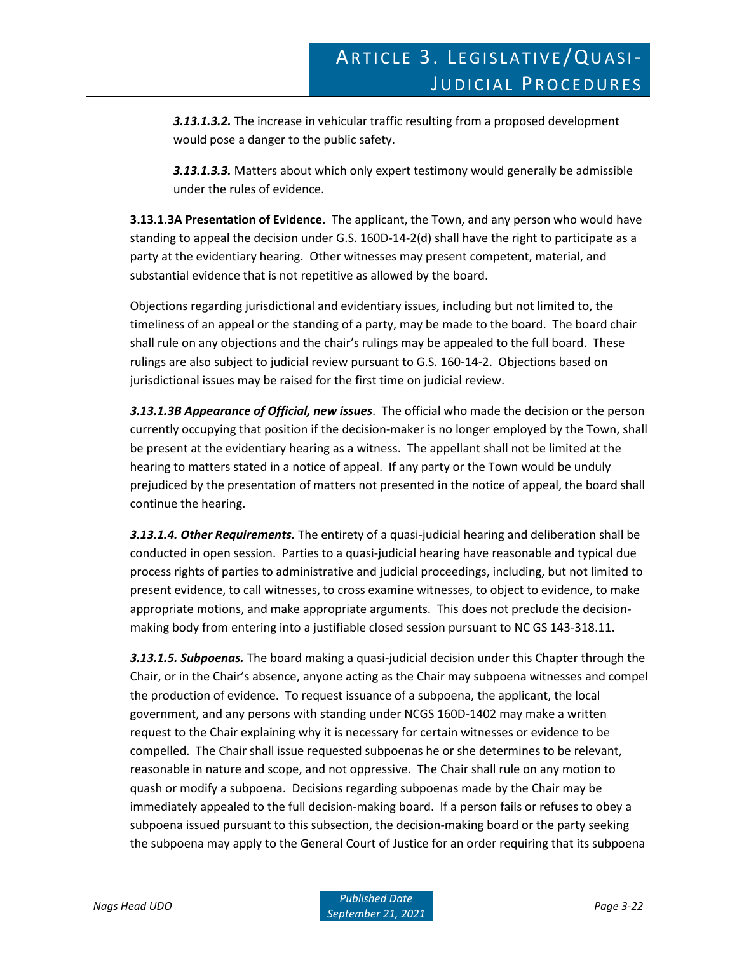*3.13.1.3.2.* The increase in vehicular traffic resulting from a proposed development would pose a danger to the public safety.

*3.13.1.3.3.* Matters about which only expert testimony would generally be admissible under the rules of evidence.

**3.13.1.3A Presentation of Evidence.** The applicant, the Town, and any person who would have standing to appeal the decision under G.S. 160D-14-2(d) shall have the right to participate as a party at the evidentiary hearing. Other witnesses may present competent, material, and substantial evidence that is not repetitive as allowed by the board.

Objections regarding jurisdictional and evidentiary issues, including but not limited to, the timeliness of an appeal or the standing of a party, may be made to the board. The board chair shall rule on any objections and the chair's rulings may be appealed to the full board. These rulings are also subject to judicial review pursuant to G.S. 160-14-2. Objections based on jurisdictional issues may be raised for the first time on judicial review.

*3.13.1.3B Appearance of Official, new issues*. The official who made the decision or the person currently occupying that position if the decision-maker is no longer employed by the Town, shall be present at the evidentiary hearing as a witness. The appellant shall not be limited at the hearing to matters stated in a notice of appeal. If any party or the Town would be unduly prejudiced by the presentation of matters not presented in the notice of appeal, the board shall continue the hearing.

*3.13.1.4. Other Requirements.* The entirety of a quasi-judicial hearing and deliberation shall be conducted in open session. Parties to a quasi-judicial hearing have reasonable and typical due process rights of parties to administrative and judicial proceedings, including, but not limited to present evidence, to call witnesses, to cross examine witnesses, to object to evidence, to make appropriate motions, and make appropriate arguments. This does not preclude the decisionmaking body from entering into a justifiable closed session pursuant to NC GS 143-318.11.

*3.13.1.5. Subpoenas.* The board making a quasi-judicial decision under this Chapter through the Chair, or in the Chair's absence, anyone acting as the Chair may subpoena witnesses and compel the production of evidence. To request issuance of a subpoena, the applicant, the local government, and any persons with standing under NCGS 160D-1402 may make a written request to the Chair explaining why it is necessary for certain witnesses or evidence to be compelled. The Chair shall issue requested subpoenas he or she determines to be relevant, reasonable in nature and scope, and not oppressive. The Chair shall rule on any motion to quash or modify a subpoena. Decisions regarding subpoenas made by the Chair may be immediately appealed to the full decision-making board. If a person fails or refuses to obey a subpoena issued pursuant to this subsection, the decision-making board or the party seeking the subpoena may apply to the General Court of Justice for an order requiring that its subpoena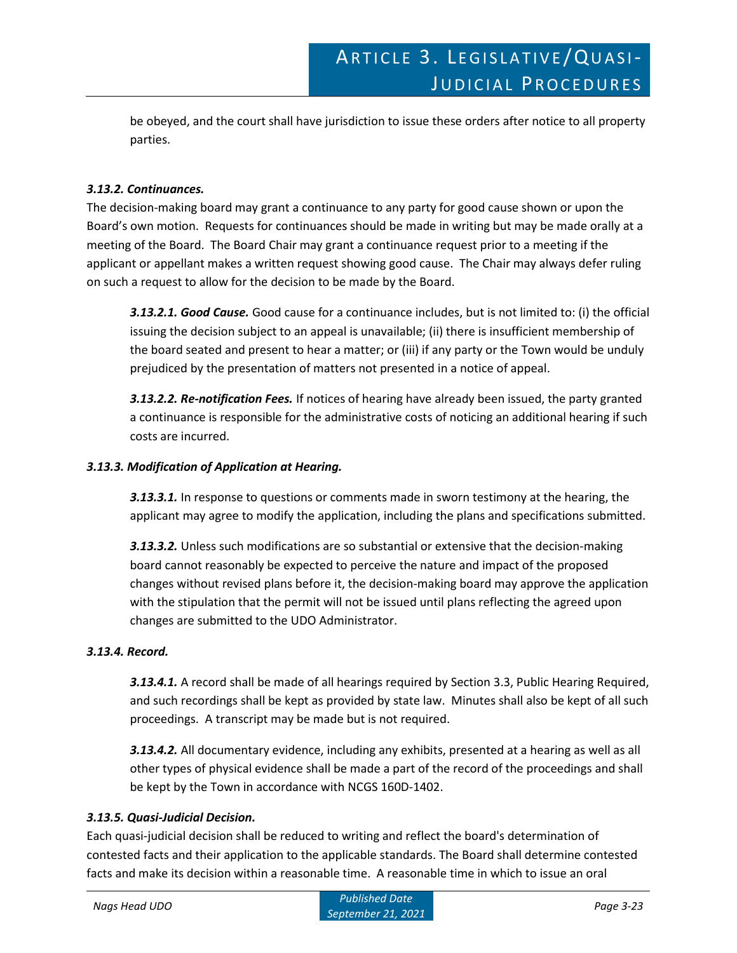be obeyed, and the court shall have jurisdiction to issue these orders after notice to all property parties.

#### *3.13.2. Continuances.*

The decision-making board may grant a continuance to any party for good cause shown or upon the Board's own motion. Requests for continuances should be made in writing but may be made orally at a meeting of the Board. The Board Chair may grant a continuance request prior to a meeting if the applicant or appellant makes a written request showing good cause. The Chair may always defer ruling on such a request to allow for the decision to be made by the Board.

*3.13.2.1. Good Cause.* Good cause for a continuance includes, but is not limited to: (i) the official issuing the decision subject to an appeal is unavailable; (ii) there is insufficient membership of the board seated and present to hear a matter; or (iii) if any party or the Town would be unduly prejudiced by the presentation of matters not presented in a notice of appeal.

*3.13.2.2. Re-notification Fees.* If notices of hearing have already been issued, the party granted a continuance is responsible for the administrative costs of noticing an additional hearing if such costs are incurred.

#### *3.13.3. Modification of Application at Hearing.*

*3.13.3.1.* In response to questions or comments made in sworn testimony at the hearing, the applicant may agree to modify the application, including the plans and specifications submitted.

*3.13.3.2.* Unless such modifications are so substantial or extensive that the decision-making board cannot reasonably be expected to perceive the nature and impact of the proposed changes without revised plans before it, the decision-making board may approve the application with the stipulation that the permit will not be issued until plans reflecting the agreed upon changes are submitted to the UDO Administrator.

#### *3.13.4. Record.*

*3.13.4.1.* A record shall be made of all hearings required by Section 3.3, Public Hearing Required, and such recordings shall be kept as provided by state law. Minutes shall also be kept of all such proceedings. A transcript may be made but is not required.

*3.13.4.2.* All documentary evidence, including any exhibits, presented at a hearing as well as all other types of physical evidence shall be made a part of the record of the proceedings and shall be kept by the Town in accordance with NCGS 160D-1402.

#### *3.13.5. Quasi-Judicial Decision.*

Each quasi-judicial decision shall be reduced to writing and reflect the board's determination of contested facts and their application to the applicable standards. The Board shall determine contested facts and make its decision within a reasonable time. A reasonable time in which to issue an oral